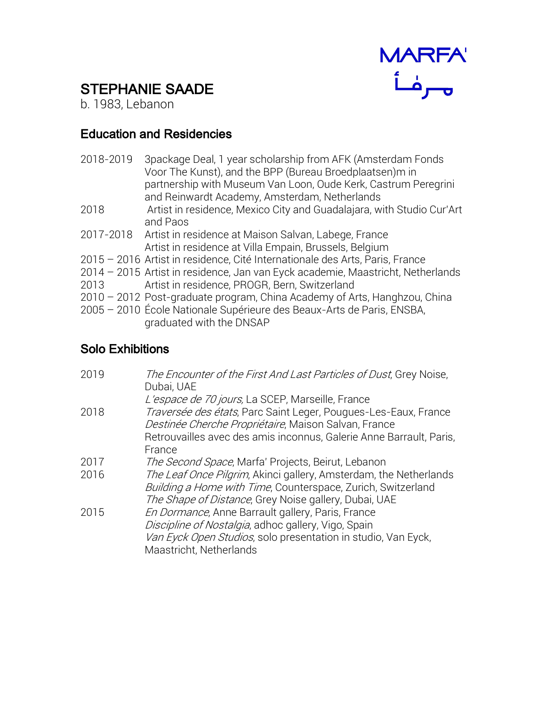

## STEPHANIE SAADE

b. 1983, Lebanon

## Education and Residencies

| 2018-2019 | 3 package Deal, 1 year scholarship from AFK (Amsterdam Fonds<br>Voor The Kunst), and the BPP (Bureau Broedplaatsen)m in<br>partnership with Museum Van Loon, Oude Kerk, Castrum Peregrini<br>and Reinwardt Academy, Amsterdam, Netherlands |
|-----------|--------------------------------------------------------------------------------------------------------------------------------------------------------------------------------------------------------------------------------------------|
| 2018      | Artist in residence, Mexico City and Guadalajara, with Studio Cur'Art<br>and Paos                                                                                                                                                          |
| 2017-2018 | Artist in residence at Maison Salvan, Labege, France<br>Artist in residence at Villa Empain, Brussels, Belgium                                                                                                                             |
|           | 2015 - 2016 Artist in residence, Cité Internationale des Arts, Paris, France                                                                                                                                                               |
|           | 2014 – 2015 Artist in residence, Jan van Eyck academie, Maastricht, Netherlands                                                                                                                                                            |
| 2013      | Artist in residence, PROGR, Bern, Switzerland                                                                                                                                                                                              |
|           | 2010 – 2012 Post-graduate program, China Academy of Arts, Hanghzou, China                                                                                                                                                                  |
|           | 2005 - 2010 École Nationale Supérieure des Beaux-Arts de Paris, ENSBA,<br>graduated with the DNSAP                                                                                                                                         |
|           |                                                                                                                                                                                                                                            |

## Solo Exhibitions

| 2019 | The Encounter of the First And Last Particles of Dust, Grey Noise,<br>Dubai, UAE                                                                                                                     |
|------|------------------------------------------------------------------------------------------------------------------------------------------------------------------------------------------------------|
|      | L'espace de 70 jours, La SCEP, Marseille, France                                                                                                                                                     |
| 2018 | Traversée des états, Parc Saint Leger, Pougues-Les-Eaux, France<br>Destinée Cherche Propriétaire, Maison Salvan, France                                                                              |
|      | Retrouvailles avec des amis inconnus, Galerie Anne Barrault, Paris,<br>France                                                                                                                        |
| 2017 | The Second Space, Marfa' Projects, Beirut, Lebanon                                                                                                                                                   |
| 2016 | The Leaf Once Pilgrim, Akinci gallery, Amsterdam, the Netherlands<br>Building a Home with Time, Counterspace, Zurich, Switzerland<br>The Shape of Distance, Grey Noise gallery, Dubai, UAE           |
| 2015 | En Dormance, Anne Barrault gallery, Paris, France<br>Discipline of Nostalgia, adhoc gallery, Vigo, Spain<br>Van Eyck Open Studios, solo presentation in studio, Van Eyck,<br>Maastricht, Netherlands |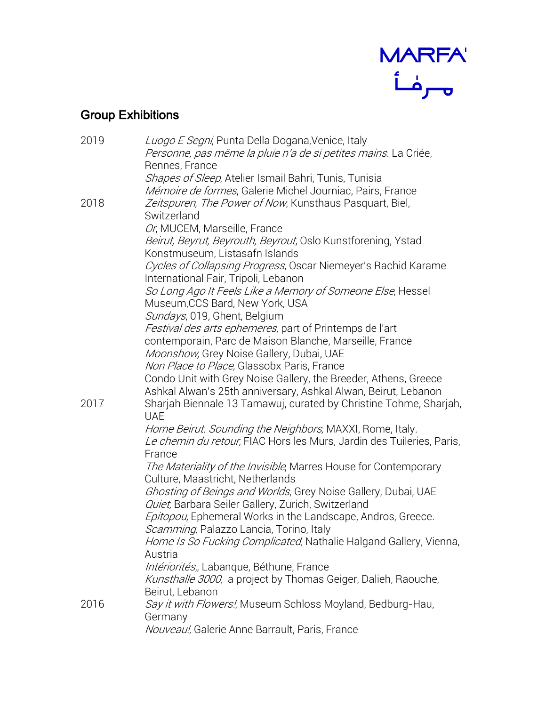

## Group Exhibitions

| 2019 | Luogo E Segni, Punta Della Dogana, Venice, Italy                                                                 |
|------|------------------------------------------------------------------------------------------------------------------|
|      | <i>Personne, pas même la pluie n'a de si petites mains.</i> La Criée,<br>Rennes, France                          |
|      | Shapes of Sleep, Atelier Ismail Bahri, Tunis, Tunisia                                                            |
|      | Mémoire de formes, Galerie Michel Journiac, Pairs, France                                                        |
| 2018 | Zeitspuren, The Power of Now, Kunsthaus Pasquart, Biel,                                                          |
|      | Switzerland                                                                                                      |
|      | Or, MUCEM, Marseille, France                                                                                     |
|      | Beirut, Beyrut, Beyrouth, Beyrout, Oslo Kunstforening, Ystad                                                     |
|      | Konstmuseum, Listasafn Islands                                                                                   |
|      | Cycles of Collapsing Progress, Oscar Niemeyer's Rachid Karame                                                    |
|      | International Fair, Tripoli, Lebanon                                                                             |
|      | So Long Ago It Feels Like a Memory of Someone Else, Hessel                                                       |
|      | Museum, CCS Bard, New York, USA                                                                                  |
|      | Sundays, 019, Ghent, Belgium<br>Festival des arts ephemeres, part of Printemps de l'art                          |
|      | contemporain, Parc de Maison Blanche, Marseille, France                                                          |
|      | Moonshow, Grey Noise Gallery, Dubai, UAE                                                                         |
|      | Non Place to Place, Glassobx Paris, France                                                                       |
|      | Condo Unit with Grey Noise Gallery, the Breeder, Athens, Greece                                                  |
|      | Ashkal Alwan's 25th anniversary, Ashkal Alwan, Beirut, Lebanon                                                   |
| 2017 | Sharjah Biennale 13 Tamawuj, curated by Christine Tohme, Sharjah,                                                |
|      | <b>UAE</b>                                                                                                       |
|      | Home Beirut. Sounding the Neighbors, MAXXI, Rome, Italy.                                                         |
|      | Le chemin du retour, FIAC Hors les Murs, Jardin des Tuileries, Paris,<br>France                                  |
|      | The Materiality of the Invisible, Marres House for Contemporary                                                  |
|      | Culture, Maastricht, Netherlands                                                                                 |
|      | Ghosting of Beings and Worlds, Grey Noise Gallery, Dubai, UAE                                                    |
|      | Quiet, Barbara Seiler Gallery, Zurich, Switzerland                                                               |
|      | Epitopou, Ephemeral Works in the Landscape, Andros, Greece.                                                      |
|      | Scamming, Palazzo Lancia, Torino, Italy                                                                          |
|      | Home Is So Fucking Complicated, Nathalie Halgand Gallery, Vienna,                                                |
|      | Austria                                                                                                          |
|      | <i>Intériorités</i> " Labanque, Béthune, France<br>Kunsthalle 3000, a project by Thomas Geiger, Dalieh, Raouche, |
|      | Beirut, Lebanon                                                                                                  |
| 2016 | Say it with Flowers!, Museum Schloss Moyland, Bedburg-Hau,                                                       |
|      | Germany                                                                                                          |
|      | Nouveau!, Galerie Anne Barrault, Paris, France                                                                   |
|      |                                                                                                                  |